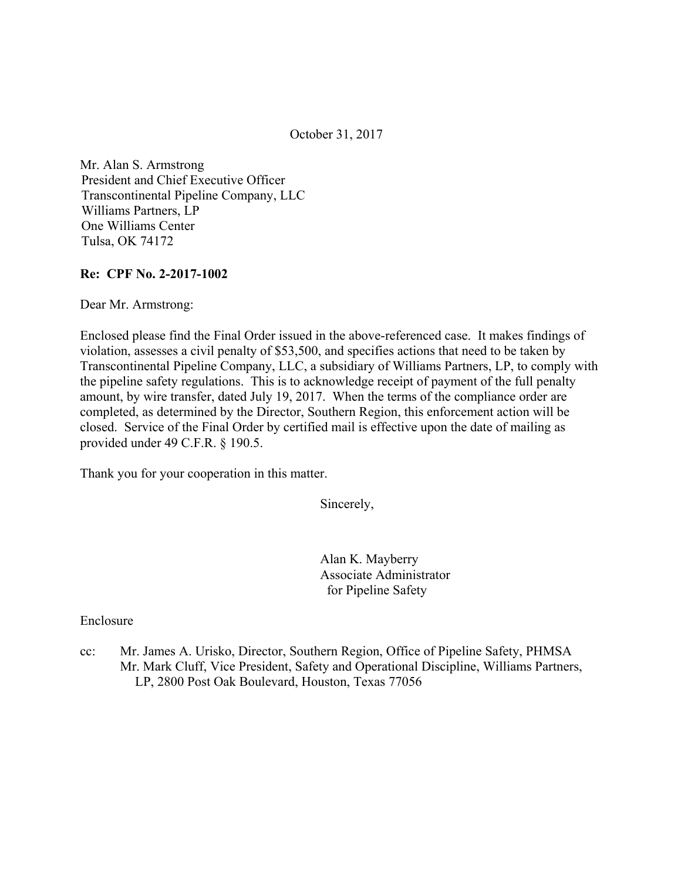October 31, 2017

Mr. Alan S. Armstrong President and Chief Executive Officer Transcontinental Pipeline Company, LLC Williams Partners, LP One Williams Center Tulsa, OK 74172

#### **Re: CPF No. 2-2017-1002**

Dear Mr. Armstrong:

Enclosed please find the Final Order issued in the above-referenced case. It makes findings of violation, assesses a civil penalty of \$53,500, and specifies actions that need to be taken by Transcontinental Pipeline Company, LLC, a subsidiary of Williams Partners, LP, to comply with the pipeline safety regulations. This is to acknowledge receipt of payment of the full penalty amount, by wire transfer, dated July 19, 2017. When the terms of the compliance order are completed, as determined by the Director, Southern Region, this enforcement action will be closed. Service of the Final Order by certified mail is effective upon the date of mailing as provided under 49 C.F.R. § 190.5.

Thank you for your cooperation in this matter.

Sincerely,

Alan K. Mayberry Associate Administrator for Pipeline Safety

Enclosure

cc: Mr. James A. Urisko, Director, Southern Region, Office of Pipeline Safety, PHMSA Mr. Mark Cluff, Vice President, Safety and Operational Discipline, Williams Partners, LP, 2800 Post Oak Boulevard, Houston, Texas 77056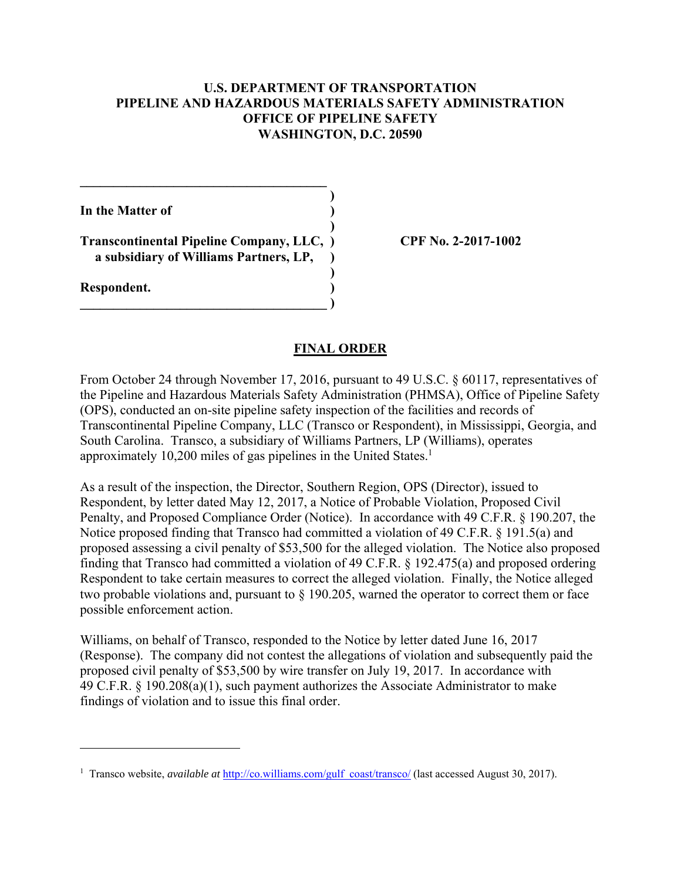### **U.S. DEPARTMENT OF TRANSPORTATION PIPELINE AND HAZARDOUS MATERIALS SAFETY ADMINISTRATION OFFICE OF PIPELINE SAFETY WASHINGTON, D.C. 20590**

**)**

**In the Matter of )**

 **Transcontinental Pipeline Company, LLC, ) CPF No. 2-2017-1002 ) a subsidiary of Williams Partners, LP, ) )**

 $\qquad \qquad \Box$ 

 $\mathcal{L}=\{1,2,3,4\}$ 

**Respondent. )** 

 $\overline{a}$ 

### **FINAL ORDER**

approximately 10,200 miles of gas pipelines in the United States.<sup>1</sup> From October 24 through November 17, 2016, pursuant to 49 U.S.C. § 60117, representatives of the Pipeline and Hazardous Materials Safety Administration (PHMSA), Office of Pipeline Safety (OPS), conducted an on-site pipeline safety inspection of the facilities and records of Transcontinental Pipeline Company, LLC (Transco or Respondent), in Mississippi, Georgia, and South Carolina. Transco, a subsidiary of Williams Partners, LP (Williams), operates

As a result of the inspection, the Director, Southern Region, OPS (Director), issued to Respondent, by letter dated May 12, 2017, a Notice of Probable Violation, Proposed Civil Penalty, and Proposed Compliance Order (Notice). In accordance with 49 C.F.R. § 190.207, the Notice proposed finding that Transco had committed a violation of 49 C.F.R. § 191.5(a) and proposed assessing a civil penalty of \$53,500 for the alleged violation. The Notice also proposed finding that Transco had committed a violation of 49 C.F.R. § 192.475(a) and proposed ordering Respondent to take certain measures to correct the alleged violation. Finally, the Notice alleged two probable violations and, pursuant to § 190.205, warned the operator to correct them or face possible enforcement action.

Williams, on behalf of Transco, responded to the Notice by letter dated June 16, 2017 (Response). The company did not contest the allegations of violation and subsequently paid the proposed civil penalty of \$53,500 by wire transfer on July 19, 2017. In accordance with 49 C.F.R. § 190.208(a)(1), such payment authorizes the Associate Administrator to make findings of violation and to issue this final order.

<sup>&</sup>lt;sup>1</sup> Transco website, *available at* http://co.williams.com/gulf coast/transco/ (last accessed August 30, 2017).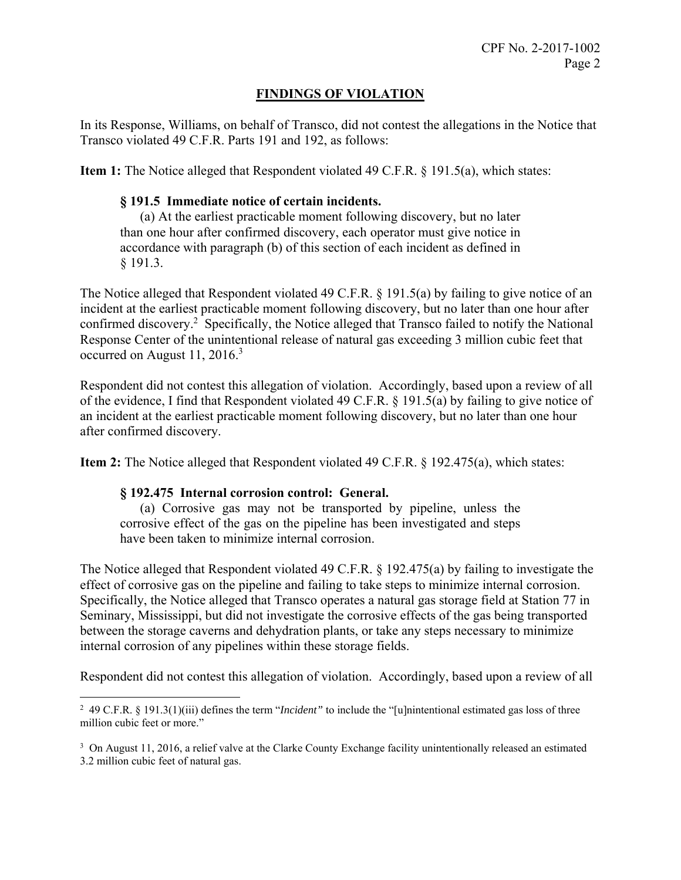# **FINDINGS OF VIOLATION**

In its Response, Williams, on behalf of Transco, did not contest the allegations in the Notice that Transco violated 49 C.F.R. Parts 191 and 192, as follows:

**Item 1:** The Notice alleged that Respondent violated 49 C.F.R. § 191.5(a), which states:

### **§ 191.5 Immediate notice of certain incidents.**

(a) At the earliest practicable moment following discovery, but no later than one hour after confirmed discovery, each operator must give notice in accordance with paragraph (b) of this section of each incident as defined in § 191.3.

occurred on August  $11, 2016$ <sup>3</sup> The Notice alleged that Respondent violated 49 C.F.R. § 191.5(a) by failing to give notice of an incident at the earliest practicable moment following discovery, but no later than one hour after confirmed discovery.<sup>2</sup> Specifically, the Notice alleged that Transco failed to notify the National Response Center of the unintentional release of natural gas exceeding 3 million cubic feet that

Respondent did not contest this allegation of violation. Accordingly, based upon a review of all of the evidence, I find that Respondent violated 49 C.F.R. § 191.5(a) by failing to give notice of an incident at the earliest practicable moment following discovery, but no later than one hour after confirmed discovery.

**Item 2:** The Notice alleged that Respondent violated 49 C.F.R. § 192.475(a), which states:

#### **§ 192.475 Internal corrosion control: General.**

(a) Corrosive gas may not be transported by pipeline, unless the corrosive effect of the gas on the pipeline has been investigated and steps have been taken to minimize internal corrosion.

The Notice alleged that Respondent violated 49 C.F.R. § 192.475(a) by failing to investigate the effect of corrosive gas on the pipeline and failing to take steps to minimize internal corrosion. Specifically, the Notice alleged that Transco operates a natural gas storage field at Station 77 in Seminary, Mississippi, but did not investigate the corrosive effects of the gas being transported between the storage caverns and dehydration plants, or take any steps necessary to minimize internal corrosion of any pipelines within these storage fields.

Respondent did not contest this allegation of violation. Accordingly, based upon a review of all

 $\overline{a}$  million cubic feet or more." 2 49 C.F.R. § 191.3(1)(iii) defines the term "*Incident"* to include the "[u]nintentional estimated gas loss of three

<sup>&</sup>lt;sup>3</sup> On August 11, 2016, a relief valve at the Clarke County Exchange facility unintentionally released an estimated 3.2 million cubic feet of natural gas.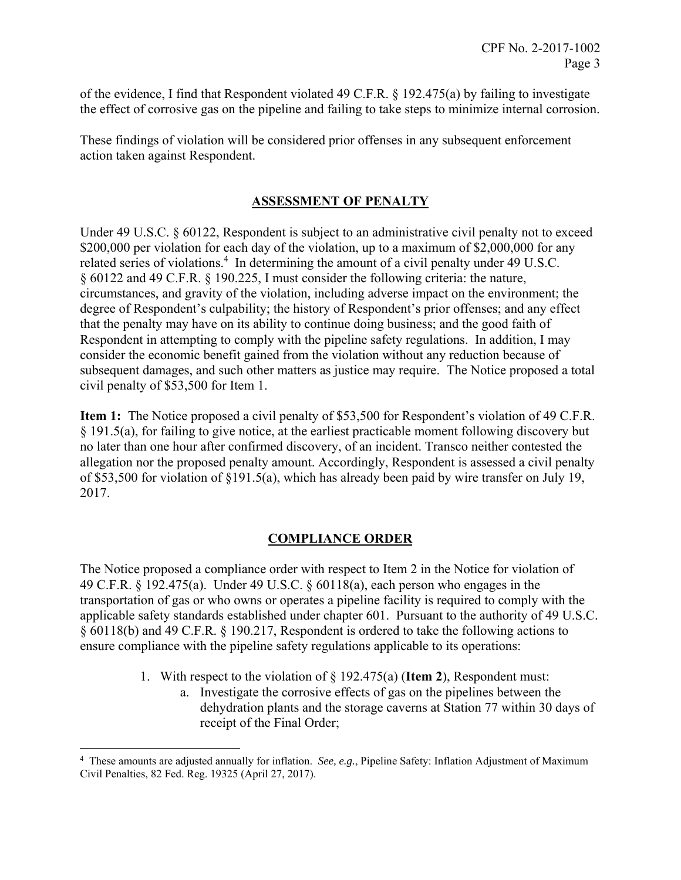of the evidence, I find that Respondent violated 49 C.F.R. § 192.475(a) by failing to investigate the effect of corrosive gas on the pipeline and failing to take steps to minimize internal corrosion.

These findings of violation will be considered prior offenses in any subsequent enforcement action taken against Respondent.

# **ASSESSMENT OF PENALTY**

Under 49 U.S.C. § 60122, Respondent is subject to an administrative civil penalty not to exceed \$200,000 per violation for each day of the violation, up to a maximum of \$2,000,000 for any related series of violations.<sup>4</sup> In determining the amount of a civil penalty under 49 U.S.C. § 60122 and 49 C.F.R. § 190.225, I must consider the following criteria: the nature, circumstances, and gravity of the violation, including adverse impact on the environment; the degree of Respondent's culpability; the history of Respondent's prior offenses; and any effect that the penalty may have on its ability to continue doing business; and the good faith of Respondent in attempting to comply with the pipeline safety regulations. In addition, I may consider the economic benefit gained from the violation without any reduction because of subsequent damages, and such other matters as justice may require. The Notice proposed a total civil penalty of \$53,500 for Item 1.

**Item 1:** The Notice proposed a civil penalty of \$53,500 for Respondent's violation of 49 C.F.R. § 191.5(a), for failing to give notice, at the earliest practicable moment following discovery but no later than one hour after confirmed discovery, of an incident. Transco neither contested the allegation nor the proposed penalty amount. Accordingly, Respondent is assessed a civil penalty of \$53,500 for violation of §191.5(a), which has already been paid by wire transfer on July 19, 2017.

# **COMPLIANCE ORDER**

The Notice proposed a compliance order with respect to Item 2 in the Notice for violation of 49 C.F.R. § 192.475(a). Under 49 U.S.C. § 60118(a), each person who engages in the transportation of gas or who owns or operates a pipeline facility is required to comply with the applicable safety standards established under chapter 601. Pursuant to the authority of 49 U.S.C. § 60118(b) and 49 C.F.R. § 190.217, Respondent is ordered to take the following actions to ensure compliance with the pipeline safety regulations applicable to its operations:

- 1. With respect to the violation of § 192.475(a) (**Item 2**), Respondent must:
	- a. Investigate the corrosive effects of gas on the pipelines between the dehydration plants and the storage caverns at Station 77 within 30 days of receipt of the Final Order;

<u>.</u>

<sup>4</sup> These amounts are adjusted annually for inflation. *See, e.g.*, Pipeline Safety: Inflation Adjustment of Maximum Civil Penalties, 82 Fed. Reg. 19325 (April 27, 2017).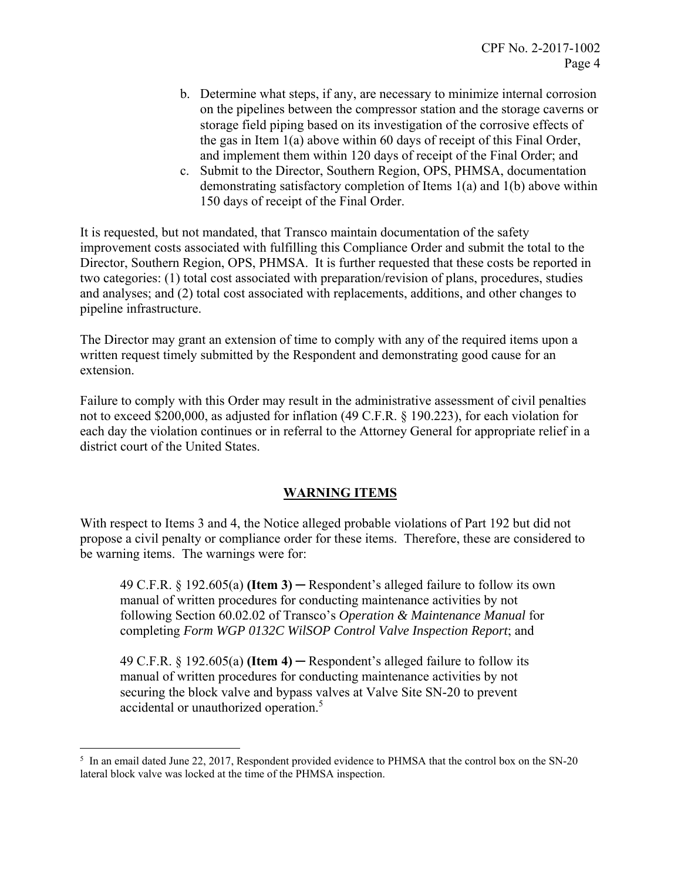- b. Determine what steps, if any, are necessary to minimize internal corrosion on the pipelines between the compressor station and the storage caverns or storage field piping based on its investigation of the corrosive effects of the gas in Item 1(a) above within 60 days of receipt of this Final Order, and implement them within 120 days of receipt of the Final Order; and
- c. Submit to the Director, Southern Region, OPS, PHMSA, documentation demonstrating satisfactory completion of Items 1(a) and 1(b) above within 150 days of receipt of the Final Order.

It is requested, but not mandated, that Transco maintain documentation of the safety improvement costs associated with fulfilling this Compliance Order and submit the total to the Director, Southern Region, OPS, PHMSA. It is further requested that these costs be reported in two categories: (1) total cost associated with preparation/revision of plans, procedures, studies and analyses; and (2) total cost associated with replacements, additions, and other changes to pipeline infrastructure.

The Director may grant an extension of time to comply with any of the required items upon a written request timely submitted by the Respondent and demonstrating good cause for an extension.

Failure to comply with this Order may result in the administrative assessment of civil penalties not to exceed \$200,000, as adjusted for inflation (49 C.F.R. § 190.223), for each violation for each day the violation continues or in referral to the Attorney General for appropriate relief in a district court of the United States.

# **WARNING ITEMS**

With respect to Items 3 and 4, the Notice alleged probable violations of Part 192 but did not propose a civil penalty or compliance order for these items. Therefore, these are considered to be warning items. The warnings were for:

49 C.F.R. § 192.605(a) **(Item 3)** ─ Respondent's alleged failure to follow its own manual of written procedures for conducting maintenance activities by not following Section 60.02.02 of Transco's *Operation & Maintenance Manual* for completing *Form WGP 0132C WilSOP Control Valve Inspection Report*; and

49 C.F.R.  $\S$  192.605(a) **(Item 4)** — Respondent's alleged failure to follow its manual of written procedures for conducting maintenance activities by not securing the block valve and bypass valves at Valve Site SN-20 to prevent accidental or unauthorized operation.<sup>5</sup>

 $\overline{a}$  $5\,$  In an email dated June 22, 2017, Respondent provided evidence to PHMSA that the control box on the SN-20 lateral block valve was locked at the time of the PHMSA inspection.